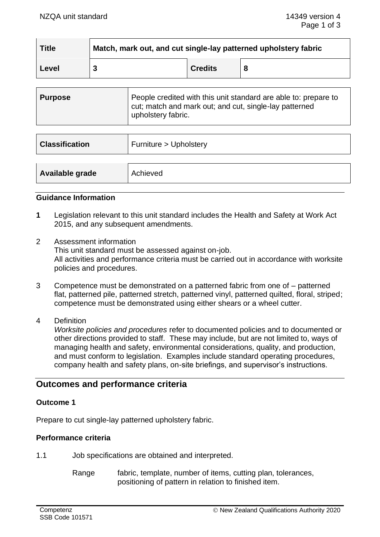| <b>Title</b> | Match, mark out, and cut single-lay patterned upholstery fabric |                |   |
|--------------|-----------------------------------------------------------------|----------------|---|
| ∣ Level      |                                                                 | <b>Credits</b> | 8 |

| Purpose | People credited with this unit standard are able to: prepare to<br>cut; match and mark out; and cut, single-lay patterned<br>upholstery fabric. |
|---------|-------------------------------------------------------------------------------------------------------------------------------------------------|
|         |                                                                                                                                                 |

| <b>Classification</b> | Furniture > Upholstery |
|-----------------------|------------------------|
| Available grade       | Achieved               |

#### **Guidance Information**

- **1** Legislation relevant to this unit standard includes the Health and Safety at Work Act 2015, and any subsequent amendments.
- 2 Assessment information This unit standard must be assessed against on-job. All activities and performance criteria must be carried out in accordance with worksite policies and procedures.
- 3 Competence must be demonstrated on a patterned fabric from one of patterned flat, patterned pile, patterned stretch, patterned vinyl, patterned quilted, floral, striped; competence must be demonstrated using either shears or a wheel cutter.
- 4 Definition

*Worksite policies and procedures* refer to documented policies and to documented or other directions provided to staff. These may include, but are not limited to, ways of managing health and safety, environmental considerations, quality, and production, and must conform to legislation. Examples include standard operating procedures, company health and safety plans, on-site briefings, and supervisor's instructions.

# **Outcomes and performance criteria**

# **Outcome 1**

Prepare to cut single-lay patterned upholstery fabric.

# **Performance criteria**

1.1 Job specifications are obtained and interpreted.

Range fabric, template, number of items, cutting plan, tolerances, positioning of pattern in relation to finished item.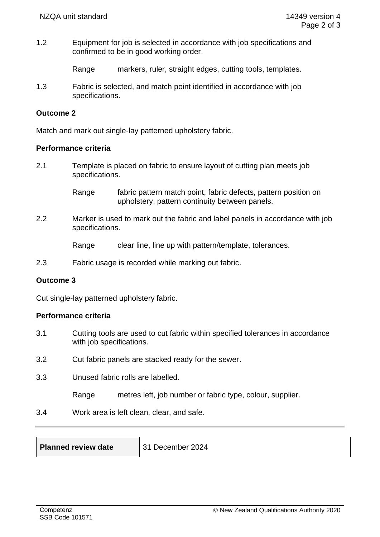1.2 Equipment for job is selected in accordance with job specifications and confirmed to be in good working order.

Range markers, ruler, straight edges, cutting tools, templates.

1.3 Fabric is selected, and match point identified in accordance with job specifications.

# **Outcome 2**

Match and mark out single-lay patterned upholstery fabric.

#### **Performance criteria**

2.1 Template is placed on fabric to ensure layout of cutting plan meets job specifications.

> Range fabric pattern match point, fabric defects, pattern position on upholstery, pattern continuity between panels.

2.2 Marker is used to mark out the fabric and label panels in accordance with job specifications.

Range clear line, line up with pattern/template, tolerances.

2.3 Fabric usage is recorded while marking out fabric.

# **Outcome 3**

Cut single-lay patterned upholstery fabric.

# **Performance criteria**

- 3.1 Cutting tools are used to cut fabric within specified tolerances in accordance with job specifications.
- 3.2 Cut fabric panels are stacked ready for the sewer.
- 3.3 Unused fabric rolls are labelled.
	- Range metres left, job number or fabric type, colour, supplier.
- 3.4 Work area is left clean, clear, and safe.

| <b>Planned review date</b> | December 2024 |
|----------------------------|---------------|
|----------------------------|---------------|